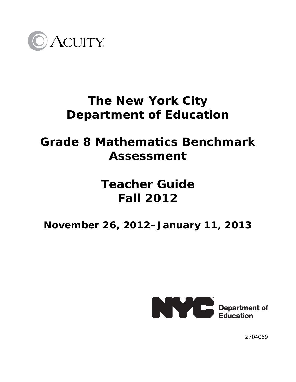

## **The New York City Department of Education**

## **Grade 8 Mathematics Benchmark Assessment**

# **Teacher Guide Fall 2012**

### **November 26, 2012–January 11, 2013**



2704069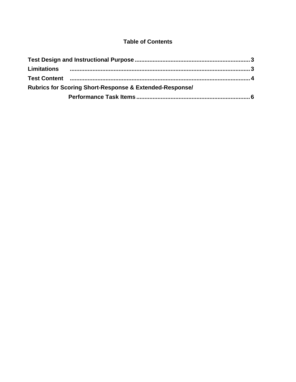#### **Table of Contents**

| <b>Rubrics for Scoring Short-Response &amp; Extended-Response/</b> |  |
|--------------------------------------------------------------------|--|
|                                                                    |  |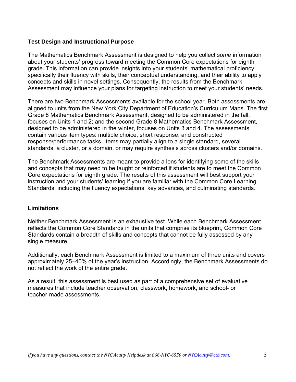#### **Test Design and Instructional Purpose**

The Mathematics Benchmark Assessment is designed to help you collect *some* information about your students' progress toward meeting the Common Core expectations for eighth grade. This information can provide insights into your students' mathematical proficiency, specifically their fluency with skills, their conceptual understanding, and their ability to apply concepts and skills in novel settings. Consequently, the results from the Benchmark Assessment may influence your plans for targeting instruction to meet your students' needs.

There are two Benchmark Assessments available for the school year. Both assessments are aligned to units from the New York City Department of Education's Curriculum Maps. The first Grade 8 Mathematics Benchmark Assessment, designed to be administered in the fall, focuses on Units 1 and 2; and the second Grade 8 Mathematics Benchmark Assessment, designed to be administered in the winter, focuses on Units 3 and 4. The assessments contain various item types: multiple choice, short response, and constructed response/performance tasks. Items may partially align to a single standard, several standards, a cluster, or a domain, or may require synthesis across clusters and/or domains.

The Benchmark Assessments are meant to provide a lens for identifying some of the skills and concepts that may need to be taught or reinforced if students are to meet the Common Core expectations for eighth grade. The results of this assessment will best support your instruction and your students' learning if you are familiar with the Common Core Learning Standards, including the fluency expectations, key advances, and culminating standards.

#### **Limitations**

Neither Benchmark Assessment is an exhaustive test. While each Benchmark Assessment reflects the Common Core Standards in the units that comprise its blueprint, Common Core Standards contain a breadth of skills and concepts that cannot be fully assessed by any single measure.

Additionally, each Benchmark Assessment is limited to a maximum of three units and covers approximately 25–40% of the year's instruction. Accordingly, the Benchmark Assessments do not reflect the work of the entire grade.

As a result, this assessment is best used as part of a comprehensive set of evaluative measures that include teacher observation, classwork, homework, and school- or teacher-made assessments.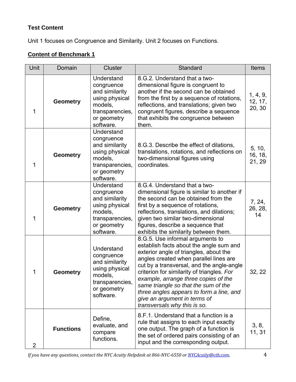### **Test Content**

Unit 1 focuses on Congruence and Similarity. Unit 2 focuses on Functions.

### **Content of Benchmark 1**

| <b>Unit</b> | Domain           | Cluster                                                                                                                | Standard                                                                                                                                                                                                                                                                                                                                                                                                                                               | <b>Items</b>                  |
|-------------|------------------|------------------------------------------------------------------------------------------------------------------------|--------------------------------------------------------------------------------------------------------------------------------------------------------------------------------------------------------------------------------------------------------------------------------------------------------------------------------------------------------------------------------------------------------------------------------------------------------|-------------------------------|
| 1           | <b>Geometry</b>  | Understand<br>congruence<br>and similarity<br>using physical<br>models,<br>transparencies,<br>or geometry<br>software. | 8.G.2. Understand that a two-<br>dimensional figure is congruent to<br>another if the second can be obtained<br>from the first by a sequence of rotations,<br>reflections, and translations; given two<br>congruent figures, describe a sequence<br>that exhibits the congruence between<br>them.                                                                                                                                                      | 1, 4, 9,<br>12, 17,<br>20, 30 |
| 1           | <b>Geometry</b>  | Understand<br>congruence<br>and similarity<br>using physical<br>models,<br>transparencies,<br>or geometry<br>software. | 8.G.3. Describe the effect of dilations,<br>translations, rotations, and reflections on<br>two-dimensional figures using<br>coordinates.                                                                                                                                                                                                                                                                                                               | 5, 10,<br>16, 18,<br>21, 29   |
| 1           | <b>Geometry</b>  | Understand<br>congruence<br>and similarity<br>using physical<br>models,<br>transparencies,<br>or geometry<br>software. | 8.G.4. Understand that a two-<br>dimensional figure is similar to another if<br>the second can be obtained from the<br>first by a sequence of rotations,<br>reflections, translations, and dilations;<br>given two similar two-dimensional<br>figures, describe a sequence that<br>exhibits the similarity between them.                                                                                                                               | 7, 24,<br>26, 28,<br>14       |
| 1           | <b>Geometry</b>  | Understand<br>congruence<br>and similarity<br>using physical<br>models,<br>transparencies,<br>or geometry<br>software. | 8.G.5. Use informal arguments to<br>establish facts about the angle sum and<br>exterior angle of triangles, about the<br>angles created when parallel lines are<br>cut by a transversal, and the angle-angle<br>criterion for similarity of triangles. For<br>example, arrange three copies of the<br>same triangle so that the sum of the<br>three angles appears to form a line, and<br>give an argument in terms of<br>transversals why this is so. | 32, 22                        |
| 2           | <b>Functions</b> | Define,<br>evaluate, and<br>compare<br>functions.                                                                      | 8.F.1. Understand that a function is a<br>rule that assigns to each input exactly<br>one output. The graph of a function is<br>the set of ordered pairs consisting of an<br>input and the corresponding output.                                                                                                                                                                                                                                        | 3, 8,<br>11, 31               |

*If you have any questions, contact the NYC Acuity Helpdesk at 866NYC6550 or NYCAcuity@ctb.com*. 4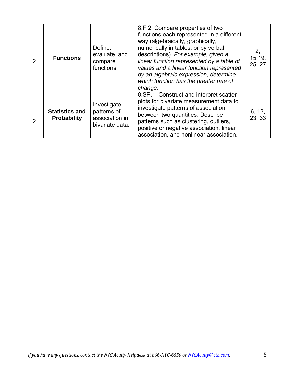| $\overline{2}$ | <b>Functions</b>                            | Define,<br>evaluate, and<br>compare<br>functions.               | 8.F.2. Compare properties of two<br>functions each represented in a different<br>way (algebraically, graphically,<br>numerically in tables, or by verbal<br>descriptions). For example, given a<br>linear function represented by a table of<br>values and a linear function represented<br>by an algebraic expression, determine<br>which function has the greater rate of<br>change. | 2,<br>15,19,<br>25, 27 |
|----------------|---------------------------------------------|-----------------------------------------------------------------|----------------------------------------------------------------------------------------------------------------------------------------------------------------------------------------------------------------------------------------------------------------------------------------------------------------------------------------------------------------------------------------|------------------------|
| 2              | <b>Statistics and</b><br><b>Probability</b> | Investigate<br>patterns of<br>association in<br>bivariate data. | 8. SP. 1. Construct and interpret scatter<br>plots for bivariate measurement data to<br>investigate patterns of association<br>between two quantities. Describe<br>patterns such as clustering, outliers,<br>positive or negative association, linear<br>association, and nonlinear association.                                                                                       | 6, 13,<br>23, 33       |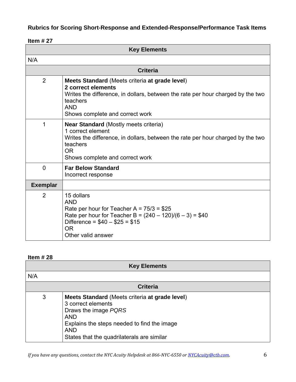### **Rubrics for Scoring Short-Response and Extended-Response/Performance Task Items**

#### **Item # 27**

| <b>Key Elements</b> |                                                                                                                                                                                                                      |  |
|---------------------|----------------------------------------------------------------------------------------------------------------------------------------------------------------------------------------------------------------------|--|
| N/A                 |                                                                                                                                                                                                                      |  |
|                     | <b>Criteria</b>                                                                                                                                                                                                      |  |
| 2                   | Meets Standard (Meets criteria at grade level)<br>2 correct elements<br>Writes the difference, in dollars, between the rate per hour charged by the two<br>teachers<br><b>AND</b><br>Shows complete and correct work |  |
| 1                   | <b>Near Standard</b> (Mostly meets criteria)<br>1 correct element<br>Writes the difference, in dollars, between the rate per hour charged by the two<br>teachers<br>0R<br>Shows complete and correct work            |  |
| $\overline{0}$      | <b>Far Below Standard</b><br>Incorrect response                                                                                                                                                                      |  |
| <b>Exemplar</b>     |                                                                                                                                                                                                                      |  |
| 2                   | 15 dollars<br><b>AND</b><br>Rate per hour for Teacher A = $75/3$ = \$25<br>Rate per hour for Teacher B = $(240 – 120)/(6 – 3) = $40$<br>Difference = $$40 - $25 = $15$<br><b>OR</b><br>Other valid answer            |  |

| <b>Key Elements</b> |                                                                                                                                                                                                                       |  |  |
|---------------------|-----------------------------------------------------------------------------------------------------------------------------------------------------------------------------------------------------------------------|--|--|
| N/A                 |                                                                                                                                                                                                                       |  |  |
| <b>Criteria</b>     |                                                                                                                                                                                                                       |  |  |
| 3                   | Meets Standard (Meets criteria at grade level)<br>3 correct elements<br>Draws the image PQRS<br><b>AND</b><br>Explains the steps needed to find the image<br><b>AND</b><br>States that the quadrilaterals are similar |  |  |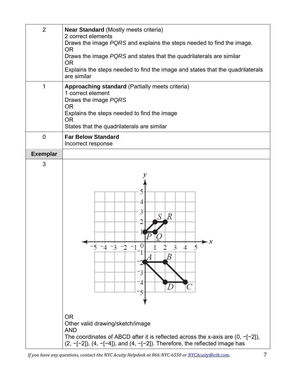| $\overline{2}$  | <b>Near Standard (Mostly meets criteria)</b><br>2 correct elements                                                                                                    |  |  |
|-----------------|-----------------------------------------------------------------------------------------------------------------------------------------------------------------------|--|--|
|                 | Draws the image PQRS and explains the steps needed to find the image.                                                                                                 |  |  |
|                 | <b>OR</b><br>Draws the image PQRS and states that the quadrilaterals are similar                                                                                      |  |  |
|                 | <b>OR</b>                                                                                                                                                             |  |  |
|                 | Explains the steps needed to find the image and states that the quadrilaterals<br>are similar                                                                         |  |  |
| 1               | Approaching standard (Partially meets criteria)<br>1 correct element<br>Draws the image PQRS<br><b>OR</b><br>Explains the steps needed to find the image<br><b>OR</b> |  |  |
|                 | States that the quadrilaterals are similar                                                                                                                            |  |  |
| $\overline{0}$  | <b>Far Below Standard</b><br>Incorrect response                                                                                                                       |  |  |
| <b>Exemplar</b> |                                                                                                                                                                       |  |  |
| 3               |                                                                                                                                                                       |  |  |
|                 |                                                                                                                                                                       |  |  |
|                 |                                                                                                                                                                       |  |  |
|                 | 4                                                                                                                                                                     |  |  |
|                 | 3                                                                                                                                                                     |  |  |
|                 | $S\, \vert R$<br>2                                                                                                                                                    |  |  |
|                 |                                                                                                                                                                       |  |  |
|                 | 5<br>3                                                                                                                                                                |  |  |
|                 | Β                                                                                                                                                                     |  |  |
|                 |                                                                                                                                                                       |  |  |
|                 |                                                                                                                                                                       |  |  |
|                 | 4                                                                                                                                                                     |  |  |
|                 |                                                                                                                                                                       |  |  |
|                 | <b>OR</b>                                                                                                                                                             |  |  |
|                 | Other valid drawing/sketch/image                                                                                                                                      |  |  |
|                 | <b>AND</b><br>The coordinates of ABCD after it is reflected across the x-axis are $(0, -[-2])$ ,                                                                      |  |  |
|                 | $(2, -[-2])$ , $(4, -[-4])$ , and $(4, -[-2])$ . Therefore, the reflected image has                                                                                   |  |  |

*If you have any questions, contact the NYC Acuity Helpdesk at 866NYC6550 or NYCAcuity@ctb.com*. 7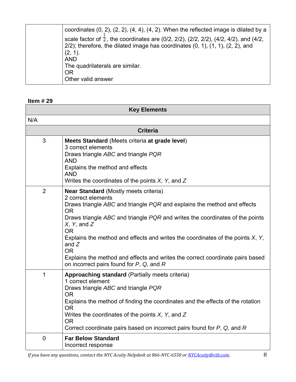| coordinates $(0, 2)$ , $(2, 2)$ , $(4, 4)$ , $(4, 2)$ . When the reflected image is dilated by a         |
|----------------------------------------------------------------------------------------------------------|
| scale factor of $\overline{2}$ , the coordinates are (0/2, 2/2), (2/2, 2/2), (4/2, 4/2), and (4/2,       |
| $2/2$ ); therefore, the dilated image has coordinates $(0, 1)$ , $(1, 1)$ , $(2, 2)$ , and<br>$(2, 1)$ . |
| <b>AND</b>                                                                                               |
| The quadrilaterals are similar.                                                                          |
| 0R                                                                                                       |
| Other valid answer                                                                                       |

| <b>Key Elements</b> |                                                                                                                                                                                                                                                                                                                                                                                                                                                                                                                           |  |
|---------------------|---------------------------------------------------------------------------------------------------------------------------------------------------------------------------------------------------------------------------------------------------------------------------------------------------------------------------------------------------------------------------------------------------------------------------------------------------------------------------------------------------------------------------|--|
| N/A                 |                                                                                                                                                                                                                                                                                                                                                                                                                                                                                                                           |  |
|                     | <b>Criteria</b>                                                                                                                                                                                                                                                                                                                                                                                                                                                                                                           |  |
| 3                   | Meets Standard (Meets criteria at grade level)<br>3 correct elements<br>Draws triangle ABC and triangle PQR<br><b>AND</b><br>Explains the method and effects<br><b>AND</b><br>Writes the coordinates of the points $X$ , Y, and Z                                                                                                                                                                                                                                                                                         |  |
| $\overline{2}$      | <b>Near Standard (Mostly meets criteria)</b><br>2 correct elements<br>Draws triangle ABC and triangle PQR and explains the method and effects<br><b>OR</b><br>Draws triangle ABC and triangle PQR and writes the coordinates of the points<br>$X$ , Y, and $Z$<br>OR<br>Explains the method and effects and writes the coordinates of the points $X$ , $Y$ ,<br>and $Z$<br><b>OR</b><br>Explains the method and effects and writes the correct coordinate pairs based<br>on incorrect pairs found for $P$ , $Q$ , and $R$ |  |
| 1                   | Approaching standard (Partially meets criteria)<br>1 correct element<br>Draws triangle ABC and triangle PQR<br><b>OR</b><br>Explains the method of finding the coordinates and the effects of the rotation<br><b>OR</b><br>Writes the coordinates of the points $X$ , Y, and Z<br><b>OR</b><br>Correct coordinate pairs based on incorrect pairs found for $P$ , $Q$ , and $R$                                                                                                                                            |  |
| $\overline{0}$      | <b>Far Below Standard</b><br>Incorrect response                                                                                                                                                                                                                                                                                                                                                                                                                                                                           |  |

*If you have any questions, contact the NYC Acuity Helpdesk at 866NYC6550 or NYCAcuity@ctb.com*. 8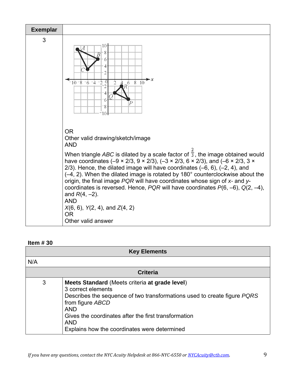

| <b>Key Elements</b> |                                                                                                                                                                                                                                                                                                          |  |  |
|---------------------|----------------------------------------------------------------------------------------------------------------------------------------------------------------------------------------------------------------------------------------------------------------------------------------------------------|--|--|
| N/A                 |                                                                                                                                                                                                                                                                                                          |  |  |
| <b>Criteria</b>     |                                                                                                                                                                                                                                                                                                          |  |  |
| 3                   | Meets Standard (Meets criteria at grade level)<br>3 correct elements<br>Describes the sequence of two transformations used to create figure PQRS<br>from figure ABCD<br><b>AND</b><br>Gives the coordinates after the first transformation<br><b>AND</b><br>Explains how the coordinates were determined |  |  |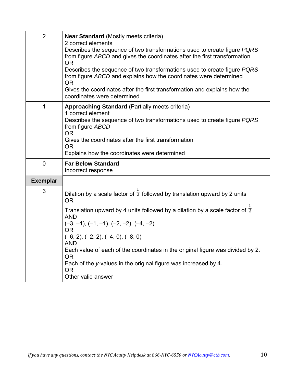| $\overline{2}$  | <b>Near Standard (Mostly meets criteria)</b><br>2 correct elements<br>Describes the sequence of two transformations used to create figure PQRS<br>from figure ABCD and gives the coordinates after the first transformation<br><b>OR</b><br>Describes the sequence of two transformations used to create figure PQRS<br>from figure ABCD and explains how the coordinates were determined<br><b>OR</b><br>Gives the coordinates after the first transformation and explains how the<br>coordinates were determined |
|-----------------|--------------------------------------------------------------------------------------------------------------------------------------------------------------------------------------------------------------------------------------------------------------------------------------------------------------------------------------------------------------------------------------------------------------------------------------------------------------------------------------------------------------------|
| 1               | <b>Approaching Standard (Partially meets criteria)</b><br>1 correct element<br>Describes the sequence of two transformations used to create figure PQRS<br>from figure ABCD<br><b>OR</b><br>Gives the coordinates after the first transformation<br><b>OR</b><br>Explains how the coordinates were determined                                                                                                                                                                                                      |
| $\mathbf 0$     | <b>Far Below Standard</b><br>Incorrect response                                                                                                                                                                                                                                                                                                                                                                                                                                                                    |
| <b>Exemplar</b> |                                                                                                                                                                                                                                                                                                                                                                                                                                                                                                                    |
| 3               | Dilation by a scale factor of $\overline{2}$ followed by translation upward by 2 units<br><b>OR</b><br>Translation upward by 4 units followed by a dilation by a scale factor of $\frac{1}{2}$<br><b>AND</b><br>$(-3, -1), (-1, -1), (-2, -2), (-4, -2)$<br>OR.<br>$(-6, 2), (-2, 2), (-4, 0), (-8, 0)$<br>AND<br>Each value of each of the coordinates in the original figure was divided by 2.<br><b>OR</b><br>Each of the y-values in the original figure was increased by 4.<br>0R<br>Other valid answer       |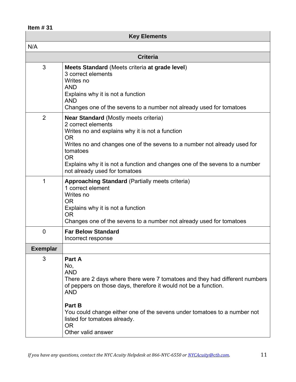| <b>Key Elements</b> |                                                                                                                                                                                                                                                                                                                                                         |  |  |
|---------------------|---------------------------------------------------------------------------------------------------------------------------------------------------------------------------------------------------------------------------------------------------------------------------------------------------------------------------------------------------------|--|--|
| N/A                 |                                                                                                                                                                                                                                                                                                                                                         |  |  |
| <b>Criteria</b>     |                                                                                                                                                                                                                                                                                                                                                         |  |  |
| 3                   | Meets Standard (Meets criteria at grade level)<br>3 correct elements<br>Writes no<br><b>AND</b><br>Explains why it is not a function<br><b>AND</b><br>Changes one of the sevens to a number not already used for tomatoes                                                                                                                               |  |  |
| 2                   | <b>Near Standard (Mostly meets criteria)</b><br>2 correct elements<br>Writes no and explains why it is not a function<br><b>OR</b><br>Writes no and changes one of the sevens to a number not already used for<br>tomatoes<br><b>OR</b><br>Explains why it is not a function and changes one of the sevens to a number<br>not already used for tomatoes |  |  |
| 1                   | <b>Approaching Standard (Partially meets criteria)</b><br>1 correct element<br>Writes no<br><b>OR</b><br>Explains why it is not a function<br>0R<br>Changes one of the sevens to a number not already used for tomatoes                                                                                                                                 |  |  |
| $\overline{0}$      | <b>Far Below Standard</b><br>Incorrect response                                                                                                                                                                                                                                                                                                         |  |  |
| <b>Exemplar</b>     |                                                                                                                                                                                                                                                                                                                                                         |  |  |
| 3                   | Part A<br>No,<br><b>AND</b><br>There are 2 days where there were 7 tomatoes and they had different numbers<br>of peppers on those days, therefore it would not be a function.<br><b>AND</b><br>Part B<br>You could change either one of the sevens under tomatoes to a number not<br>listed for tomatoes already.<br><b>OR</b><br>Other valid answer    |  |  |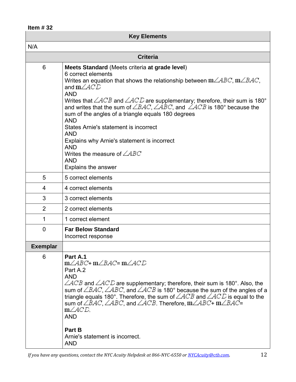| <b>Key Elements</b> |                                                                                                                                                                                                                                                                                                                                                                                                                                                                                                                                                                                                                                                                    |  |
|---------------------|--------------------------------------------------------------------------------------------------------------------------------------------------------------------------------------------------------------------------------------------------------------------------------------------------------------------------------------------------------------------------------------------------------------------------------------------------------------------------------------------------------------------------------------------------------------------------------------------------------------------------------------------------------------------|--|
| N/A                 |                                                                                                                                                                                                                                                                                                                                                                                                                                                                                                                                                                                                                                                                    |  |
|                     | <b>Criteria</b>                                                                                                                                                                                                                                                                                                                                                                                                                                                                                                                                                                                                                                                    |  |
| 6                   | Meets Standard (Meets criteria at grade level)<br>6 correct elements<br>Writes an equation that shows the relationship between $m\angle ABC$ , $m\angle BAC$ ,<br>and $m\angle ACD$<br><b>AND</b><br>Writes that $\angle ACB$ and $\angle ACD$ are supplementary; therefore, their sum is 180°<br>and writes that the sum of $\angle BAC$ , $\angle ABC$ , and $\angle ACB$ is 180° because the<br>sum of the angles of a triangle equals 180 degrees<br><b>AND</b><br>States Arnie's statement is incorrect<br><b>AND</b><br>Explains why Arnie's statement is incorrect<br><b>AND</b><br>Writes the measure of $\angle ABC$<br><b>AND</b><br>Explains the answer |  |
| 5                   | 5 correct elements                                                                                                                                                                                                                                                                                                                                                                                                                                                                                                                                                                                                                                                 |  |
| 4                   | 4 correct elements                                                                                                                                                                                                                                                                                                                                                                                                                                                                                                                                                                                                                                                 |  |
| 3                   | 3 correct elements                                                                                                                                                                                                                                                                                                                                                                                                                                                                                                                                                                                                                                                 |  |
| 2                   | 2 correct elements                                                                                                                                                                                                                                                                                                                                                                                                                                                                                                                                                                                                                                                 |  |
| 1                   | 1 correct element                                                                                                                                                                                                                                                                                                                                                                                                                                                                                                                                                                                                                                                  |  |
| $\overline{0}$      | <b>Far Below Standard</b><br>Incorrect response                                                                                                                                                                                                                                                                                                                                                                                                                                                                                                                                                                                                                    |  |
| <b>Exemplar</b>     |                                                                                                                                                                                                                                                                                                                                                                                                                                                                                                                                                                                                                                                                    |  |
| 6                   | Part A.1<br>m∠ABC+ m∠BAC= m∠ACD<br>Part A.2<br><b>AND</b><br>$\angle ACB$ and $\angle ACD$ are supplementary; therefore, their sum is 180°. Also, the<br>sum of $\angle BAC$ , $\angle ABC$ , and $\angle ACB$ is 180° because the sum of the angles of a<br>triangle equals 180°. Therefore, the sum of $\angle ACB$ and $\angle ACD$ is equal to the<br>sum of $\angle BAC$ , $\angle ABC$ , and $\angle ACB$ . Therefore, $m\angle ABC + m\angle BAC =$<br>$m\angle ACD$<br><b>AND</b><br>Part B<br>Arnie's statement is incorrect.<br><b>AND</b>                                                                                                               |  |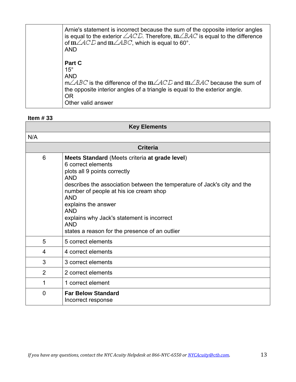| Arnie's statement is incorrect because the sum of the opposite interior angles<br>is equal to the exterior $\angle ACD$ Therefore, $m\angle BAC$ is equal to the difference<br>of $m\angle ACD$ and $m\angle ABC$ , which is equal to 60°.<br><b>AND</b> |
|----------------------------------------------------------------------------------------------------------------------------------------------------------------------------------------------------------------------------------------------------------|
| Part C<br>$15^{\circ}$<br><b>AND</b><br>$m\angle ABC$ is the difference of the $m\angle ACD$ and $m\angle BAC$ because the sum of<br>the opposite interior angles of a triangle is equal to the exterior angle.<br>0R<br>Other valid answer              |

| <b>Key Elements</b> |                                                                                                                                                                                                                                                                                                                                                                                                           |  |
|---------------------|-----------------------------------------------------------------------------------------------------------------------------------------------------------------------------------------------------------------------------------------------------------------------------------------------------------------------------------------------------------------------------------------------------------|--|
| N/A                 |                                                                                                                                                                                                                                                                                                                                                                                                           |  |
| <b>Criteria</b>     |                                                                                                                                                                                                                                                                                                                                                                                                           |  |
| 6                   | Meets Standard (Meets criteria at grade level)<br>6 correct elements<br>plots all 9 points correctly<br><b>AND</b><br>describes the association between the temperature of Jack's city and the<br>number of people at his ice cream shop<br><b>AND</b><br>explains the answer<br><b>AND</b><br>explains why Jack's statement is incorrect<br><b>AND</b><br>states a reason for the presence of an outlier |  |
| 5                   | 5 correct elements                                                                                                                                                                                                                                                                                                                                                                                        |  |
| 4                   | 4 correct elements                                                                                                                                                                                                                                                                                                                                                                                        |  |
| 3                   | 3 correct elements                                                                                                                                                                                                                                                                                                                                                                                        |  |
| $\overline{2}$      | 2 correct elements                                                                                                                                                                                                                                                                                                                                                                                        |  |
| 1                   | 1 correct element                                                                                                                                                                                                                                                                                                                                                                                         |  |
| $\Omega$            | <b>Far Below Standard</b><br>Incorrect response                                                                                                                                                                                                                                                                                                                                                           |  |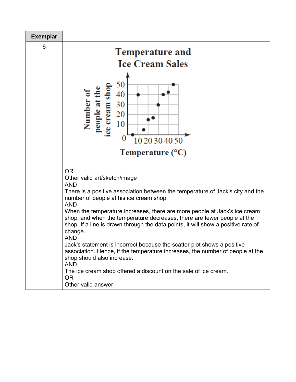